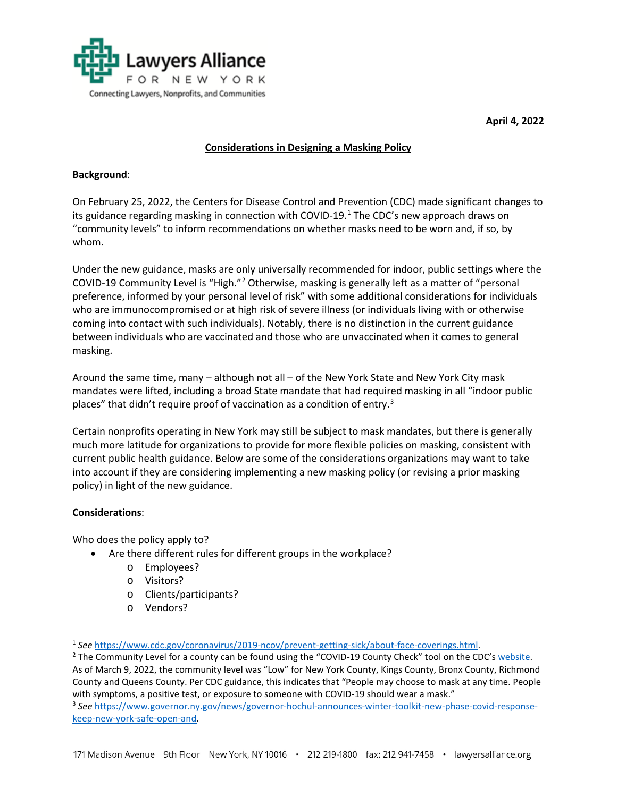

**April 4, 2022**

## **Considerations in Designing a Masking Policy**

## **Background**:

On February 25, 2022, the Centers for Disease Control and Prevention (CDC) made significant changes to its guidance regarding masking in connection with COVID-[1](#page-0-0)9.<sup>1</sup> The CDC's new approach draws on "community levels" to inform recommendations on whether masks need to be worn and, if so, by whom.

Under the new guidance, masks are only universally recommended for indoor, public settings where the COVID-19 Community Level is "High."[2](#page-0-1) Otherwise, masking is generally left as a matter of "personal preference, informed by your personal level of risk" with some additional considerations for individuals who are immunocompromised or at high risk of severe illness (or individuals living with or otherwise coming into contact with such individuals). Notably, there is no distinction in the current guidance between individuals who are vaccinated and those who are unvaccinated when it comes to general masking.

Around the same time, many – although not all – of the New York State and New York City mask mandates were lifted, including a broad State mandate that had required masking in all "indoor public places" that didn't require proof of vaccination as a condition of entry.<sup>[3](#page-0-2)</sup>

Certain nonprofits operating in New York may still be subject to mask mandates, but there is generally much more latitude for organizations to provide for more flexible policies on masking, consistent with current public health guidance. Below are some of the considerations organizations may want to take into account if they are considering implementing a new masking policy (or revising a prior masking policy) in light of the new guidance.

## **Considerations**:

Who does the policy apply to?

- Are there different rules for different groups in the workplace?
	- o Employees?
	- o Visitors?
	- o Clients/participants?
	- o Vendors?

<span id="page-0-1"></span><span id="page-0-0"></span><sup>&</sup>lt;sup>1</sup> See https://www.cdc.gov/coronavirus/2019-ncov/prevent-getting-sick/about-face-coverings.html.<br><sup>2</sup> The Community Level for a county can be found using the "COVID-19 County Check" tool on the CDC's website. As of March 9, 2022, the community level was "Low" for New York County, Kings County, Bronx County, Richmond County and Queens County. Per CDC guidance, this indicates that "People may choose to mask at any time. People with symptoms, a positive test, or exposure to someone with COVID-19 should wear a mask."

<span id="page-0-2"></span><sup>3</sup> *See* [https://www.governor.ny.gov/news/governor-hochul-announces-winter-toolkit-new-phase-covid-response](https://www.governor.ny.gov/news/governor-hochul-announces-winter-toolkit-new-phase-covid-response-keep-new-york-safe-open-and)[keep-new-york-safe-open-and.](https://www.governor.ny.gov/news/governor-hochul-announces-winter-toolkit-new-phase-covid-response-keep-new-york-safe-open-and)